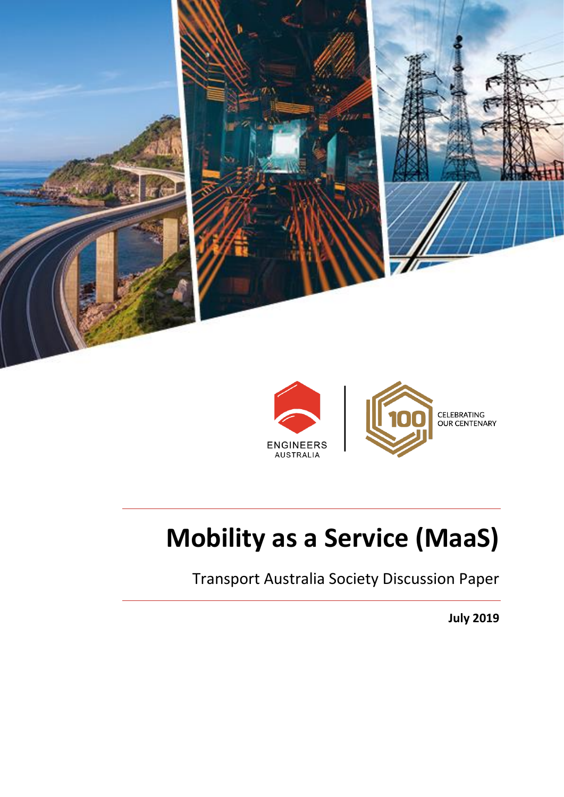

**ENGINEERS AUSTRALIA** 

# **Mobility as a Service (MaaS)**

Transport Australia Society Discussion Paper

**July 2019**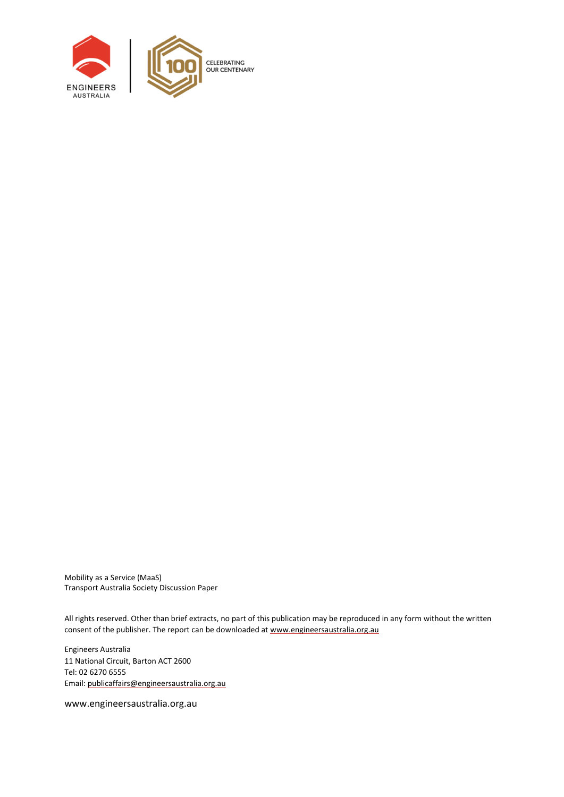

Mobility as a Service (MaaS) Transport Australia Society Discussion Paper

All rights reserved. Other than brief extracts, no part of this publication may be reproduced in any form without the written consent of the publisher. The report can be downloaded a[t www.engineersaustralia.org.au](file://///EACBR-FILES/Volumes/eacbr-files.DATA/national/IEAust/Shared/MarkComm/_EA%20GRAPHIC%20DESIGN/P/Policy/660610%20Policy%20Report%20-%20Word%20Template%20Update/Working/www.engineersaustralia.org.au)

Engineers Australia 11 National Circuit, Barton ACT 2600 Tel: 02 6270 6555 Email[: publicaffairs@engineersaustralia.org.au](mailto:publicaffairs@engineersaustralia.org.au)

www.engineersaustralia.org.au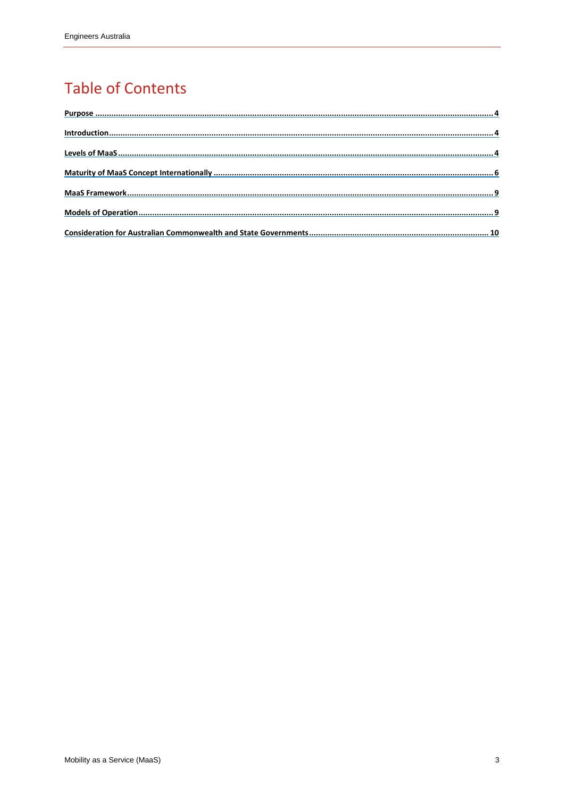## **Table of Contents**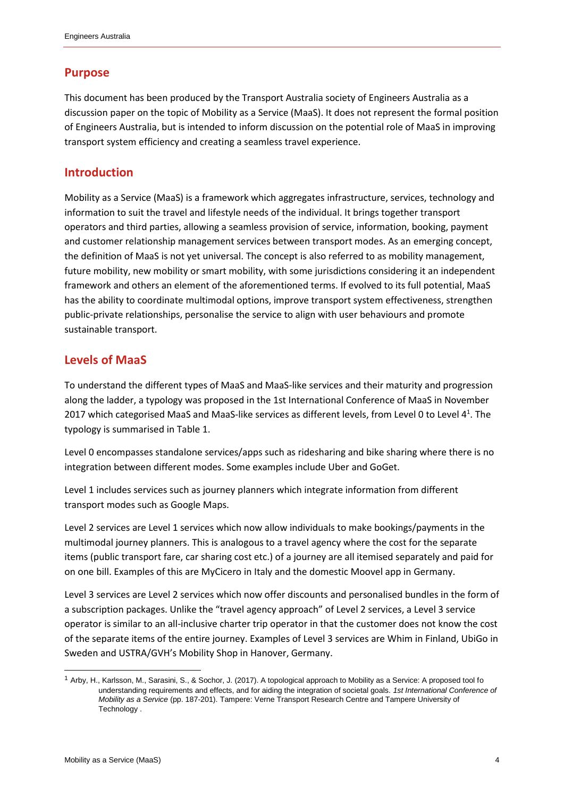#### <span id="page-3-0"></span>**Purpose**

This document has been produced by the Transport Australia society of Engineers Australia as a discussion paper on the topic of Mobility as a Service (MaaS). It does not represent the formal position of Engineers Australia, but is intended to inform discussion on the potential role of MaaS in improving transport system efficiency and creating a seamless travel experience.

#### <span id="page-3-1"></span>**Introduction**

Mobility as a Service (MaaS) is a framework which aggregates infrastructure, services, technology and information to suit the travel and lifestyle needs of the individual. It brings together transport operators and third parties, allowing a seamless provision of service, information, booking, payment and customer relationship management services between transport modes. As an emerging concept, the definition of MaaS is not yet universal. The concept is also referred to as mobility management, future mobility, new mobility or smart mobility, with some jurisdictions considering it an independent framework and others an element of the aforementioned terms. If evolved to its full potential, MaaS has the ability to coordinate multimodal options, improve transport system effectiveness, strengthen public-private relationships, personalise the service to align with user behaviours and promote sustainable transport.

#### <span id="page-3-2"></span>**Levels of MaaS**

To understand the different types of MaaS and MaaS-like services and their maturity and progression along the ladder, a typology was proposed in the 1st International Conference of MaaS in November 2017 which categorised MaaS and MaaS-like services as different levels, from Level 0 to Level  $4^1$ . The typology is summarised i[n Table 1.](#page-4-0)

Level 0 encompasses standalone services/apps such as ridesharing and bike sharing where there is no integration between different modes. Some examples include Uber and GoGet.

Level 1 includes services such as journey planners which integrate information from different transport modes such as Google Maps.

Level 2 services are Level 1 services which now allow individuals to make bookings/payments in the multimodal journey planners. This is analogous to a travel agency where the cost for the separate items (public transport fare, car sharing cost etc.) of a journey are all itemised separately and paid for on one bill. Examples of this are MyCicero in Italy and the domestic Moovel app in Germany.

Level 3 services are Level 2 services which now offer discounts and personalised bundles in the form of a subscription packages. Unlike the "travel agency approach" of Level 2 services, a Level 3 service operator is similar to an all-inclusive charter trip operator in that the customer does not know the cost of the separate items of the entire journey. Examples of Level 3 services are Whim in Finland, UbiGo in Sweden and USTRA/GVH's Mobility Shop in Hanover, Germany.

l

<sup>1</sup> Arby, H., Karlsson, M., Sarasini, S., & Sochor, J. (2017). A topological approach to Mobility as a Service: A proposed tool fo understanding requirements and effects, and for aiding the integration of societal goals. *1st International Conference of Mobility as a Service* (pp. 187-201). Tampere: Verne Transport Research Centre and Tampere University of Technology .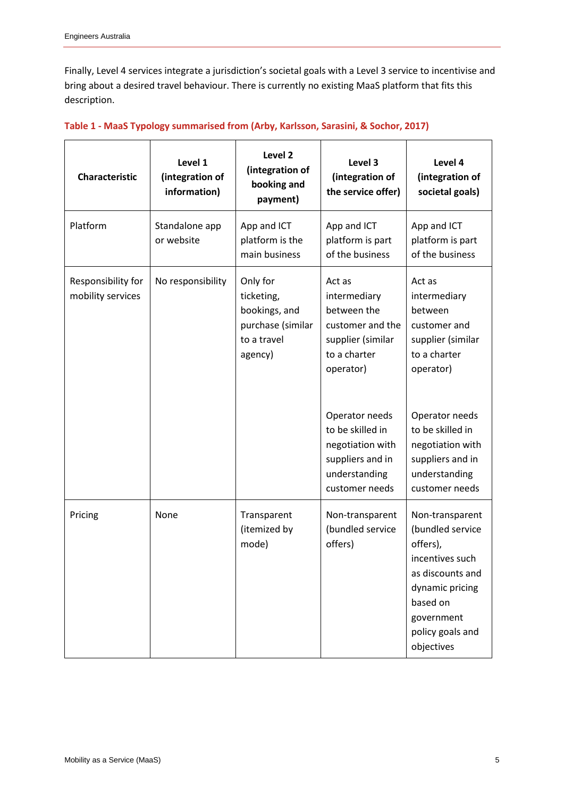Finally, Level 4 services integrate a jurisdiction's societal goals with a Level 3 service to incentivise and bring about a desired travel behaviour. There is currently no existing MaaS platform that fits this description.

| <b>Characteristic</b>                   | Level 1<br>(integration of<br>information) | Level <sub>2</sub><br>(integration of<br>booking and<br>payment)                       | Level 3<br>(integration of<br>the service offer)                                                                                                                                          | Level 4<br>(integration of<br>societal goals)                                                                                                                                     |
|-----------------------------------------|--------------------------------------------|----------------------------------------------------------------------------------------|-------------------------------------------------------------------------------------------------------------------------------------------------------------------------------------------|-----------------------------------------------------------------------------------------------------------------------------------------------------------------------------------|
| Platform                                | Standalone app<br>or website               | App and ICT<br>platform is the<br>main business                                        | App and ICT<br>platform is part<br>of the business                                                                                                                                        | App and ICT<br>platform is part<br>of the business                                                                                                                                |
| Responsibility for<br>mobility services | No responsibility                          | Only for<br>ticketing,<br>bookings, and<br>purchase (similar<br>to a travel<br>agency) | Act as<br>intermediary<br>between the<br>customer and the<br>supplier (similar<br>to a charter<br>operator)<br>Operator needs<br>to be skilled in<br>negotiation with<br>suppliers and in | Act as<br>intermediary<br>between<br>customer and<br>supplier (similar<br>to a charter<br>operator)<br>Operator needs<br>to be skilled in<br>negotiation with<br>suppliers and in |
|                                         |                                            |                                                                                        | understanding<br>customer needs                                                                                                                                                           | understanding<br>customer needs                                                                                                                                                   |
| Pricing                                 | None                                       | Transparent<br>(itemized by<br>mode)                                                   | Non-transparent<br>(bundled service<br>offers)                                                                                                                                            | Non-transparent<br>(bundled service<br>offers),<br>incentives such<br>as discounts and<br>dynamic pricing<br>based on<br>government<br>policy goals and<br>objectives             |

#### <span id="page-4-0"></span>**Table 1 - MaaS Typology summarised from (Arby, Karlsson, Sarasini, & Sochor, 2017)**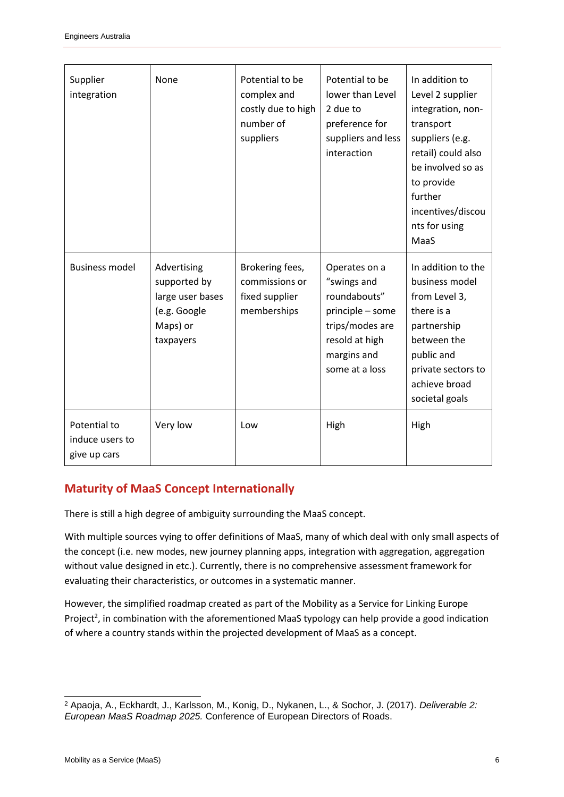| Supplier<br>integration                         | None                                                                                     | Potential to be<br>complex and<br>costly due to high<br>number of<br>suppliers | Potential to be<br>lower than Level<br>2 due to<br>preference for<br>suppliers and less<br>interaction                                 | In addition to<br>Level 2 supplier<br>integration, non-<br>transport<br>suppliers (e.g.<br>retail) could also<br>be involved so as<br>to provide<br>further<br>incentives/discou<br>nts for using<br>MaaS |
|-------------------------------------------------|------------------------------------------------------------------------------------------|--------------------------------------------------------------------------------|----------------------------------------------------------------------------------------------------------------------------------------|-----------------------------------------------------------------------------------------------------------------------------------------------------------------------------------------------------------|
| <b>Business model</b>                           | Advertising<br>supported by<br>large user bases<br>(e.g. Google<br>Maps) or<br>taxpayers | Brokering fees,<br>commissions or<br>fixed supplier<br>memberships             | Operates on a<br>"swings and<br>roundabouts"<br>principle - some<br>trips/modes are<br>resold at high<br>margins and<br>some at a loss | In addition to the<br>business model<br>from Level 3,<br>there is a<br>partnership<br>between the<br>public and<br>private sectors to<br>achieve broad<br>societal goals                                  |
| Potential to<br>induce users to<br>give up cars | Very low                                                                                 | Low                                                                            | High                                                                                                                                   | High                                                                                                                                                                                                      |

### <span id="page-5-0"></span>**Maturity of MaaS Concept Internationally**

There is still a high degree of ambiguity surrounding the MaaS concept.

With multiple sources vying to offer definitions of MaaS, many of which deal with only small aspects of the concept (i.e. new modes, new journey planning apps, integration with aggregation, aggregation without value designed in etc.). Currently, there is no comprehensive assessment framework for evaluating their characteristics, or outcomes in a systematic manner.

However, the simplified roadmap created as part of the Mobility as a Service for Linking Europe Project<sup>2</sup>, in combination with the aforementioned MaaS typology can help provide a good indication of where a country stands within the projected development of MaaS as a concept.

l <sup>2</sup> Apaoja, A., Eckhardt, J., Karlsson, M., Konig, D., Nykanen, L., & Sochor, J. (2017). *Deliverable 2: European MaaS Roadmap 2025.* Conference of European Directors of Roads.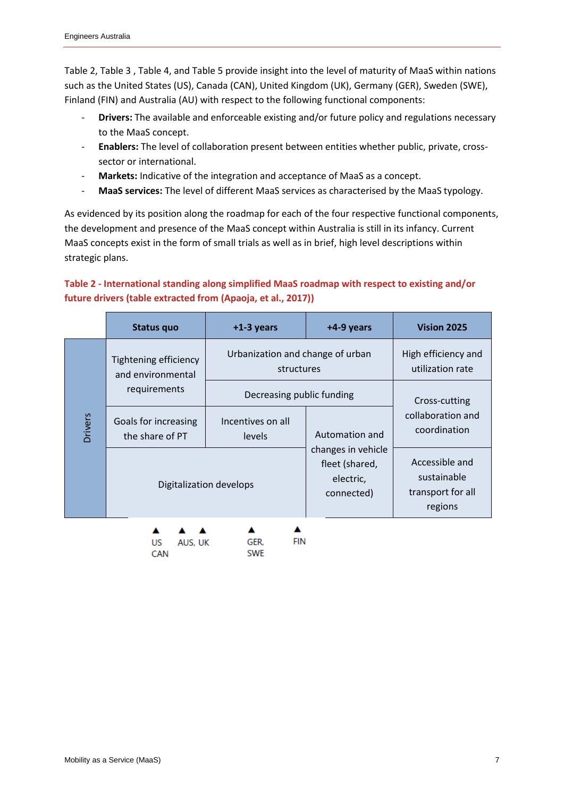[Table 2,](#page-6-0) [Table 3](#page-7-0) , [Table 4,](#page-7-1) and [Table 5](#page-8-2) provide insight into the level of maturity of MaaS within nations such as the United States (US), Canada (CAN), United Kingdom (UK), Germany (GER), Sweden (SWE), Finland (FIN) and Australia (AU) with respect to the following functional components:

- **Drivers:** The available and enforceable existing and/or future policy and regulations necessary to the MaaS concept.
- **Enablers:** The level of collaboration present between entities whether public, private, crosssector or international.
- Markets: Indicative of the integration and acceptance of MaaS as a concept.
- **MaaS services:** The level of different MaaS services as characterised by the MaaS typology.

As evidenced by its position along the roadmap for each of the four respective functional components, the development and presence of the MaaS concept within Australia is still in its infancy. Current MaaS concepts exist in the form of small trials as well as in brief, high level descriptions within strategic plans.

#### <span id="page-6-0"></span>**Table 2 - International standing along simplified MaaS roadmap with respect to existing and/or future drivers (table extracted from (Apaoja, et al., 2017))**

|                | <b>Status quo</b>                          | $+1-3$ years                                   | +4-9 years                                                      | Vision 2025                                                   |
|----------------|--------------------------------------------|------------------------------------------------|-----------------------------------------------------------------|---------------------------------------------------------------|
| <b>Drivers</b> | Tightening efficiency<br>and environmental | Urbanization and change of urban<br>structures |                                                                 | High efficiency and<br>utilization rate                       |
|                | requirements                               | Decreasing public funding                      |                                                                 | Cross-cutting                                                 |
|                | Goals for increasing<br>the share of PT    | Incentives on all<br>levels                    | Automation and                                                  | collaboration and<br>coordination                             |
|                |                                            | Digitalization develops                        | changes in vehicle<br>fleet (shared,<br>electric,<br>connected) | Accessible and<br>sustainable<br>transport for all<br>regions |
|                | US<br>AUS, UK<br>CAN                       | FIN<br>GER.<br><b>SWE</b>                      |                                                                 |                                                               |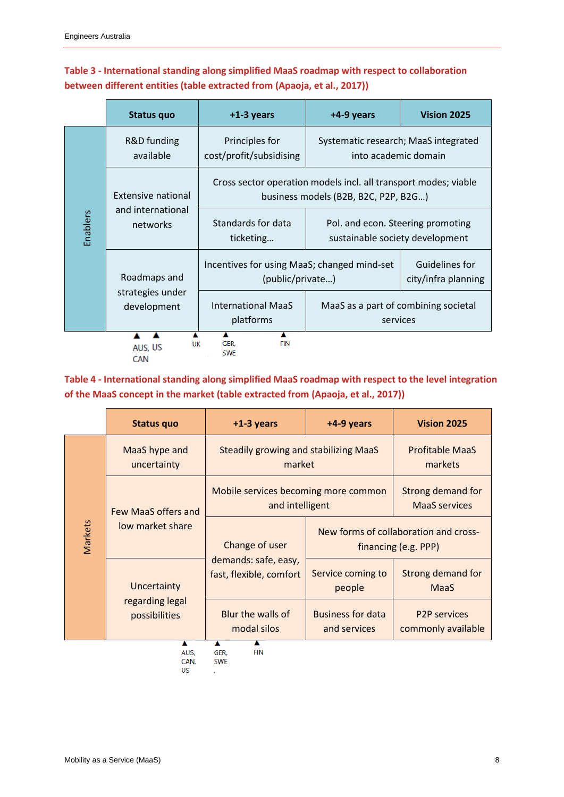#### <span id="page-7-0"></span>**Table 3 - International standing along simplified MaaS roadmap with respect to collaboration between different entities (table extracted from (Apaoja, et al., 2017))**

|          | Status quo                      | $+1-3$ years                                                                                              | +4-9 years                                                           | Vision 2025 |  |
|----------|---------------------------------|-----------------------------------------------------------------------------------------------------------|----------------------------------------------------------------------|-------------|--|
|          | R&D funding<br>available        | Principles for<br>Systematic research; MaaS integrated<br>cost/profit/subsidising<br>into academic domain |                                                                      |             |  |
|          | Extensive national              | Cross sector operation models incl. all transport modes; viable<br>business models (B2B, B2C, P2P, B2G)   |                                                                      |             |  |
| Enablers | and international<br>networks   | Standards for data<br>ticketing                                                                           | Pol. and econ. Steering promoting<br>sustainable society development |             |  |
|          | Roadmaps and                    | Guidelines for<br>Incentives for using MaaS; changed mind-set<br>(public/private)<br>city/infra planning  |                                                                      |             |  |
|          | strategies under<br>development | <b>International MaaS</b><br>platforms                                                                    | MaaS as a part of combining societal<br>services                     |             |  |
|          | UK<br>AUS, US<br><b>CAN</b>     | <b>FIN</b><br>GER.<br><b>SWE</b>                                                                          |                                                                      |             |  |

#### <span id="page-7-1"></span>**Table 4 - International standing along simplified MaaS roadmap with respect to the level integration of the MaaS concept in the market (table extracted from (Apaoja, et al., 2017))**

|         | <b>Status quo</b>                               | $+1-3$ years                                                      | +4-9 years                                                    | <b>Vision 2025</b>                        |
|---------|-------------------------------------------------|-------------------------------------------------------------------|---------------------------------------------------------------|-------------------------------------------|
| Markets | MaaS hype and<br>uncertainty                    | <b>Steadily growing and stabilizing MaaS</b><br>market            | <b>Profitable MaaS</b><br>markets                             |                                           |
|         | Few MaaS offers and<br>low market share         | Mobile services becoming more common<br>and intelligent           |                                                               | Strong demand for<br><b>MaaS</b> services |
|         |                                                 | Change of user<br>demands: safe, easy,<br>fast, flexible, comfort | New forms of collaboration and cross-<br>financing (e.g. PPP) |                                           |
|         | Uncertainty<br>regarding legal<br>possibilities |                                                                   | Service coming to<br>people                                   | Strong demand for<br>MaaS                 |
|         |                                                 | Blur the walls of<br>modal silos                                  | <b>Business for data</b><br>and services                      | <b>P2P services</b><br>commonly available |
|         | A<br>AUS.<br>CAN.<br>US                         | A<br>A<br><b>FIN</b><br>GER.<br><b>SWE</b>                        |                                                               |                                           |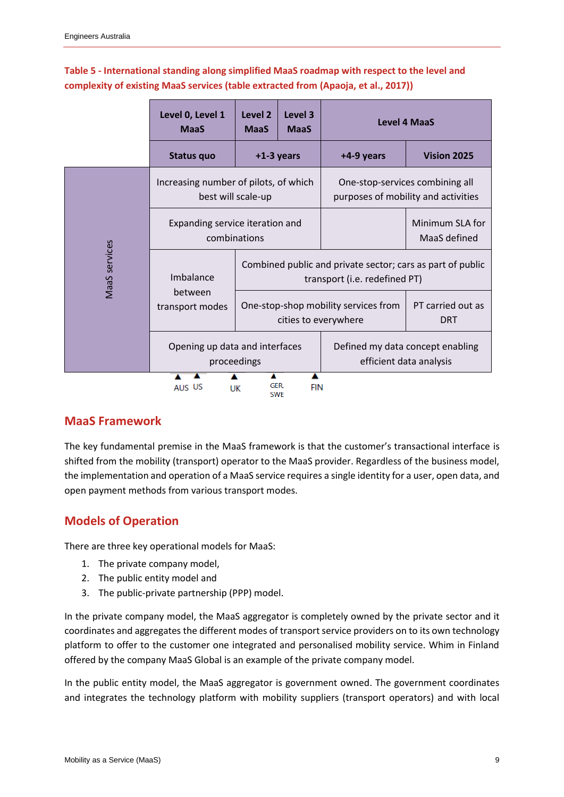#### <span id="page-8-2"></span>**Table 5 - International standing along simplified MaaS roadmap with respect to the level and complexity of existing MaaS services (table extracted from (Apaoja, et al., 2017))**

|               | Level 0, Level 1<br><b>MaaS</b>                             | Level <sub>2</sub><br><b>MaaS</b>                            | Level 3<br><b>MaaS</b>                                                                      | <b>Level 4 MaaS</b> |                                 |
|---------------|-------------------------------------------------------------|--------------------------------------------------------------|---------------------------------------------------------------------------------------------|---------------------|---------------------------------|
|               | Status quo                                                  |                                                              | $+1-3$ years                                                                                | +4-9 years          | Vision 2025                     |
|               | Increasing number of pilots, of which<br>best will scale-up |                                                              | One-stop-services combining all<br>purposes of mobility and activities                      |                     |                                 |
| MaaS services | Expanding service iteration and<br>combinations             |                                                              |                                                                                             |                     | Minimum SLA for<br>MaaS defined |
|               | Imbalance                                                   |                                                              | Combined public and private sector; cars as part of public<br>transport (i.e. redefined PT) |                     |                                 |
|               | between<br>transport modes                                  | One-stop-shop mobility services from<br>cities to everywhere |                                                                                             |                     | PT carried out as<br><b>DRT</b> |
|               | Opening up data and interfaces<br>proceedings               |                                                              | Defined my data concept enabling<br>efficient data analysis                                 |                     |                                 |
|               | AUS US<br>UK                                                | ▴<br>GER.<br><b>SWE</b>                                      | <b>FIN</b>                                                                                  |                     |                                 |

#### <span id="page-8-0"></span>**MaaS Framework**

The key fundamental premise in the MaaS framework is that the customer's transactional interface is shifted from the mobility (transport) operator to the MaaS provider. Regardless of the business model, the implementation and operation of a MaaS service requires a single identity for a user, open data, and open payment methods from various transport modes.

### <span id="page-8-1"></span>**Models of Operation**

There are three key operational models for MaaS:

- 1. The private company model,
- 2. The public entity model and
- 3. The public-private partnership (PPP) model.

In the private company model, the MaaS aggregator is completely owned by the private sector and it coordinates and aggregates the different modes of transport service providers on to its own technology platform to offer to the customer one integrated and personalised mobility service. Whim in Finland offered by the company MaaS Global is an example of the private company model.

In the public entity model, the MaaS aggregator is government owned. The government coordinates and integrates the technology platform with mobility suppliers (transport operators) and with local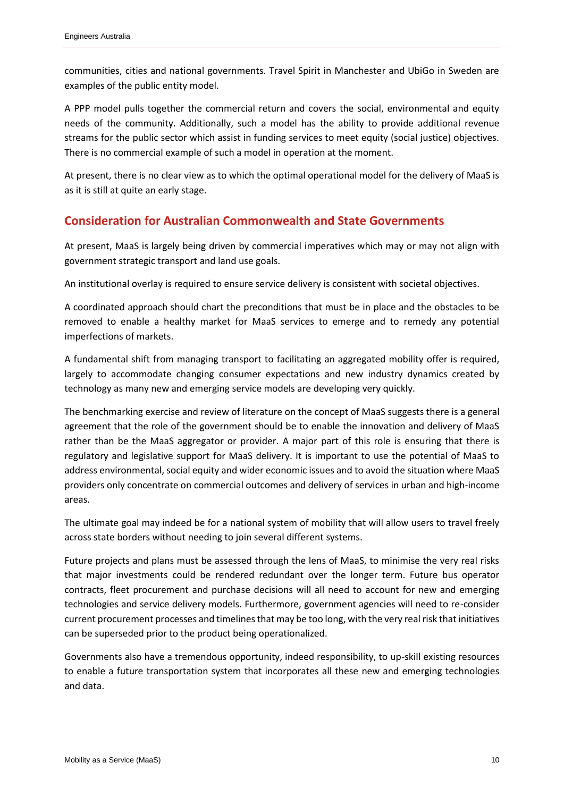communities, cities and national governments. Travel Spirit in Manchester and UbiGo in Sweden are examples of the public entity model.

A PPP model pulls together the commercial return and covers the social, environmental and equity needs of the community. Additionally, such a model has the ability to provide additional revenue streams for the public sector which assist in funding services to meet equity (social justice) objectives. There is no commercial example of such a model in operation at the moment.

At present, there is no clear view as to which the optimal operational model for the delivery of MaaS is as it is still at quite an early stage.

#### <span id="page-9-0"></span>**Consideration for Australian Commonwealth and State Governments**

At present, MaaS is largely being driven by commercial imperatives which may or may not align with government strategic transport and land use goals.

An institutional overlay is required to ensure service delivery is consistent with societal objectives.

A coordinated approach should chart the preconditions that must be in place and the obstacles to be removed to enable a healthy market for MaaS services to emerge and to remedy any potential imperfections of markets.

A fundamental shift from managing transport to facilitating an aggregated mobility offer is required, largely to accommodate changing consumer expectations and new industry dynamics created by technology as many new and emerging service models are developing very quickly.

The benchmarking exercise and review of literature on the concept of MaaS suggests there is a general agreement that the role of the government should be to enable the innovation and delivery of MaaS rather than be the MaaS aggregator or provider. A major part of this role is ensuring that there is regulatory and legislative support for MaaS delivery. It is important to use the potential of MaaS to address environmental, social equity and wider economic issues and to avoid the situation where MaaS providers only concentrate on commercial outcomes and delivery of services in urban and high-income areas.

The ultimate goal may indeed be for a national system of mobility that will allow users to travel freely across state borders without needing to join several different systems.

Future projects and plans must be assessed through the lens of MaaS, to minimise the very real risks that major investments could be rendered redundant over the longer term. Future bus operator contracts, fleet procurement and purchase decisions will all need to account for new and emerging technologies and service delivery models. Furthermore, government agencies will need to re-consider current procurement processes and timelines that may be too long, with the very real risk that initiatives can be superseded prior to the product being operationalized.

Governments also have a tremendous opportunity, indeed responsibility, to up-skill existing resources to enable a future transportation system that incorporates all these new and emerging technologies and data.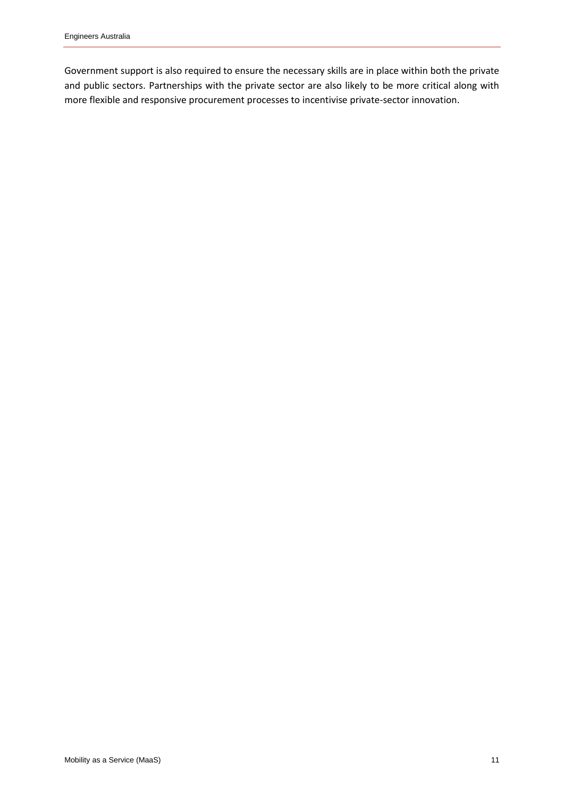Government support is also required to ensure the necessary skills are in place within both the private and public sectors. Partnerships with the private sector are also likely to be more critical along with more flexible and responsive procurement processes to incentivise private-sector innovation.